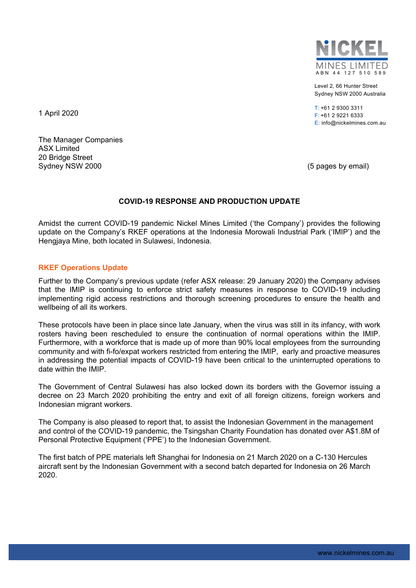

Level 2, 66 Hunter Street Sydney NSW 2000 Australia

 $T: +61$  2 9300 3311 F: +61 2 9221 6333 E: info@nickelmines.com.au

1 April 2020

The Manager Companies ASX Limited 20 Bridge Street Sydney NSW 2000 **(5 pages by email)** Sydney NSW 2000

# **COVID-19 RESPONSE AND PRODUCTION UPDATE**

Amidst the current COVID-19 pandemic Nickel Mines Limited ('the Company') provides the following update on the Company's RKEF operations at the Indonesia Morowali Industrial Park ('IMIP') and the Hengjaya Mine, both located in Sulawesi, Indonesia.

## **RKEF Operations Update**

Further to the Company's previous update (refer ASX release: 29 January 2020) the Company advises that the IMIP is continuing to enforce strict safety measures in response to COVID-19 including implementing rigid access restrictions and thorough screening procedures to ensure the health and wellbeing of all its workers.

These protocols have been in place since late January, when the virus was still in its infancy, with work rosters having been rescheduled to ensure the continuation of normal operations within the IMIP. Furthermore, with a workforce that is made up of more than 90% local employees from the surrounding community and with fi-fo/expat workers restricted from entering the IMIP, early and proactive measures in addressing the potential impacts of COVID-19 have been critical to the uninterrupted operations to date within the IMIP.

The Government of Central Sulawesi has also locked down its borders with the Governor issuing a decree on 23 March 2020 prohibiting the entry and exit of all foreign citizens, foreign workers and Indonesian migrant workers.

The Company is also pleased to report that, to assist the Indonesian Government in the management and control of the COVID-19 pandemic, the Tsingshan Charity Foundation has donated over A\$1.8M of Personal Protective Equipment ('PPE') to the Indonesian Government.

The first batch of PPE materials left Shanghai for Indonesia on 21 March 2020 on a C-130 Hercules aircraft sent by the Indonesian Government with a second batch departed for Indonesia on 26 March 2020.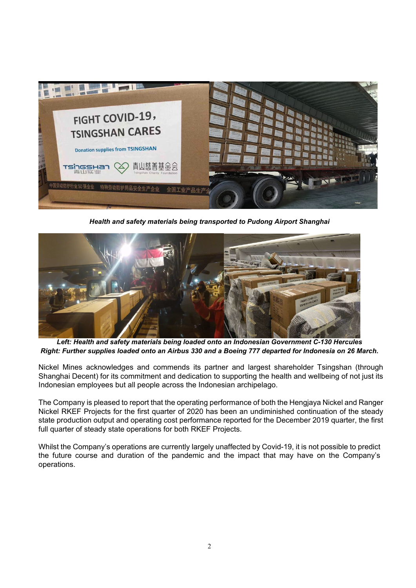

*Health and safety materials being transported to Pudong Airport Shanghai* 



*Left: Health and safety materials being loaded onto an Indonesian Government C-130 Hercules Right: Further supplies loaded onto an Airbus 330 and a Boeing 777 departed for Indonesia on 26 March.* 

Nickel Mines acknowledges and commends its partner and largest shareholder Tsingshan (through Shanghai Decent) for its commitment and dedication to supporting the health and wellbeing of not just its Indonesian employees but all people across the Indonesian archipelago.

The Company is pleased to report that the operating performance of both the Hengjaya Nickel and Ranger Nickel RKEF Projects for the first quarter of 2020 has been an undiminished continuation of the steady state production output and operating cost performance reported for the December 2019 quarter, the first full quarter of steady state operations for both RKEF Projects.

Whilst the Company's operations are currently largely unaffected by Covid-19, it is not possible to predict the future course and duration of the pandemic and the impact that may have on the Company's operations.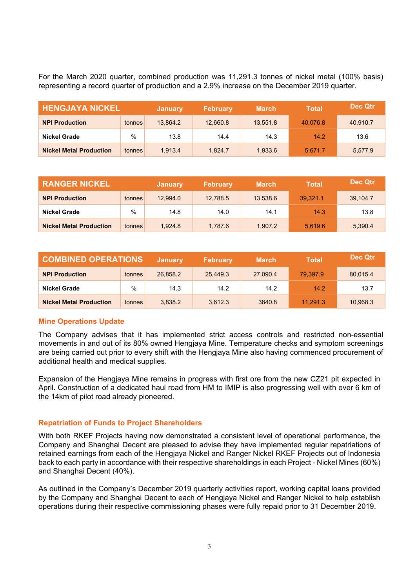For the March 2020 quarter, combined production was 11,291.3 tonnes of nickel metal (100% basis) representing a record quarter of production and a 2.9% increase on the December 2019 quarter.

| <b>HENGJAYA NICKEL</b>         |        | <b>January</b> | <b>February</b> | <b>March</b> | <b>Total</b> | Dec Qtr  |
|--------------------------------|--------|----------------|-----------------|--------------|--------------|----------|
| <b>NPI Production</b>          | tonnes | 13.864.2       | 12,660.8        | 13.551.8     | 40.076.8     | 40.910.7 |
| Nickel Grade                   | $\%$   | 13.8           | 14.4            | 14.3         | 14.2         | 13.6     |
| <b>Nickel Metal Production</b> | tonnes | 1.913.4        | 1.824.7         | 1.933.6      | 5.671.7      | 5.577.9  |

| <b>RANGER NICKEL</b>           |        | <b>January</b> | <b>February</b> | <b>March</b> | Total    | Dec Qtr  |
|--------------------------------|--------|----------------|-----------------|--------------|----------|----------|
| <b>NPI Production</b>          | tonnes | 12.994.0       | 12,788.5        | 13.538.6     | 39.321.1 | 39.104.7 |
| <b>Nickel Grade</b>            | $\%$   | 14.8           | 14.0            | 14.1         | 14.3     | 13.8     |
| <b>Nickel Metal Production</b> | tonnes | 1.924.8        | 1.787.6         | 1.907.2      | 5.619.6  | 5,390.4  |

| <b>COMBINED OPERATIONS</b>     |        | <b>January</b> | <b>February</b> | <b>March</b> | <b>Total</b> | Dec Qtr  |
|--------------------------------|--------|----------------|-----------------|--------------|--------------|----------|
| <b>NPI Production</b>          | tonnes | 26,858.2       | 25,449.3        | 27.090.4     | 79.397.9     | 80,015.4 |
| Nickel Grade                   | %      | 14.3           | 14.2            | 14.2         | 14.2         | 13.7     |
| <b>Nickel Metal Production</b> | tonnes | 3,838.2        | 3.612.3         | 3840.8       | 11.291.3     | 10,968.3 |

# **Mine Operations Update**

The Company advises that it has implemented strict access controls and restricted non-essential movements in and out of its 80% owned Hengjaya Mine. Temperature checks and symptom screenings are being carried out prior to every shift with the Hengjaya Mine also having commenced procurement of additional health and medical supplies.

Expansion of the Hengjaya Mine remains in progress with first ore from the new CZ21 pit expected in April. Construction of a dedicated haul road from HM to IMIP is also progressing well with over 6 km of the 14km of pilot road already pioneered.

# **Repatriation of Funds to Project Shareholders**

With both RKEF Projects having now demonstrated a consistent level of operational performance, the Company and Shanghai Decent are pleased to advise they have implemented regular repatriations of retained earnings from each of the Hengjaya Nickel and Ranger Nickel RKEF Projects out of Indonesia back to each party in accordance with their respective shareholdings in each Project - Nickel Mines (60%) and Shanghai Decent (40%).

As outlined in the Company's December 2019 quarterly activities report, working capital loans provided by the Company and Shanghai Decent to each of Hengjaya Nickel and Ranger Nickel to help establish operations during their respective commissioning phases were fully repaid prior to 31 December 2019.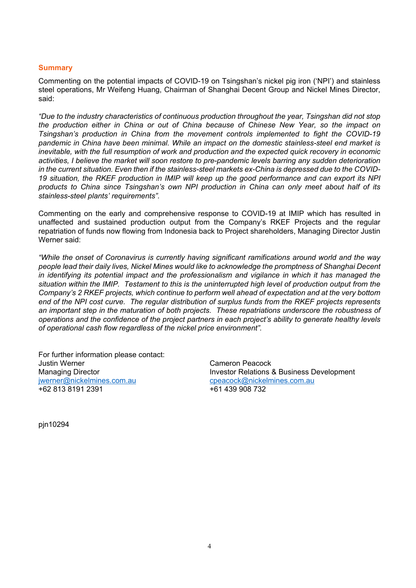## **Summary**

Commenting on the potential impacts of COVID-19 on Tsingshan's nickel pig iron ('NPI') and stainless steel operations, Mr Weifeng Huang, Chairman of Shanghai Decent Group and Nickel Mines Director, said:

*"Due to the industry characteristics of continuous production throughout the year, Tsingshan did not stop the production either in China or out of China because of Chinese New Year, so the impact on Tsingshan's production in China from the movement controls implemented to fight the COVID-19 pandemic in China have been minimal. While an impact on the domestic stainless-steel end market is inevitable, with the full resumption of work and production and the expected quick recovery in economic activities, I believe the market will soon restore to pre-pandemic levels barring any sudden deterioration in the current situation. Even then if the stainless-steel markets ex-China is depressed due to the COVID-19 situation, the RKEF production in IMIP will keep up the good performance and can export its NPI products to China since Tsingshan's own NPI production in China can only meet about half of its stainless-steel plants' requirements".* 

Commenting on the early and comprehensive response to COVID-19 at IMIP which has resulted in unaffected and sustained production output from the Company's RKEF Projects and the regular repatriation of funds now flowing from Indonesia back to Project shareholders, Managing Director Justin Werner said:

*"While the onset of Coronavirus is currently having significant ramifications around world and the way people lead their daily lives, Nickel Mines would like to acknowledge the promptness of Shanghai Decent in identifying its potential impact and the professionalism and vigilance in which it has managed the situation within the IMIP. Testament to this is the uninterrupted high level of production output from the Company's 2 RKEF projects, which continue to perform well ahead of expectation and at the very bottom end of the NPI cost curve. The regular distribution of surplus funds from the RKEF projects represents an important step in the maturation of both projects. These repatriations underscore the robustness of operations and the confidence of the project partners in each project's ability to generate healthy levels of operational cash flow regardless of the nickel price environment".* 

For further information please contact: Justin Werner Cameron Peacock jwerner@nickelmines.com.au cpeacock@nickelmines.com.au +62 813 8191 2391 +61 439 908 732

Managing Director **Investor Relations & Business Development** 

pjn10294